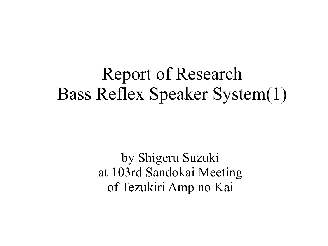### Report of Research Bass Reflex Speaker System(1)

by Shigeru Suzuki at 103rd Sandokai Meeting of Tezukiri Amp no Kai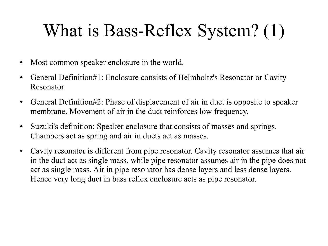# What is Bass-Reflex System? (1)

- Most common speaker enclosure in the world.
- General Definition#1: Enclosure consists of Helmholtz's Resonator or Cavity Resonator
- General Definition#2: Phase of displacement of air in duct is opposite to speaker membrane. Movement of air in the duct reinforces low frequency.
- Suzuki's definition: Speaker enclosure that consists of masses and springs. Chambers act as spring and air in ducts act as masses.
- Cavity resonator is different from pipe resonator. Cavity resonator assumes that air in the duct act as single mass, while pipe resonator assumes air in the pipe does not act as single mass. Air in pipe resonator has dense layers and less dense layers. Hence very long duct in bass reflex enclosure acts as pipe resonator.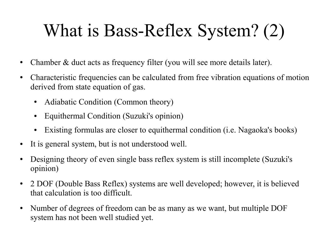# What is Bass-Reflex System? (2)

- Chamber & duct acts as frequency filter (you will see more details later).
- Characteristic frequencies can be calculated from free vibration equations of motion derived from state equation of gas.
	- Adiabatic Condition (Common theory)
	- Equithermal Condition (Suzuki's opinion)
	- Existing formulas are closer to equithermal condition (i.e. Nagaoka's books)
- It is general system, but is not understood well.
- Designing theory of even single bass reflex system is still incomplete (Suzuki's opinion)
- 2 DOF (Double Bass Reflex) systems are well developed; however, it is believed that calculation is too difficult.
- Number of degrees of freedom can be as many as we want, but multiple DOF system has not been well studied yet.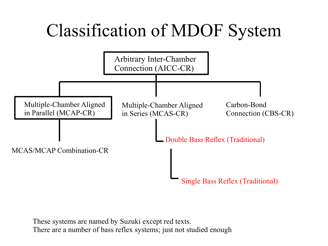# Classification of MDOF System



These systems are named by Suzuki except red texts. There are a number of bass reflex systems; just not studied enough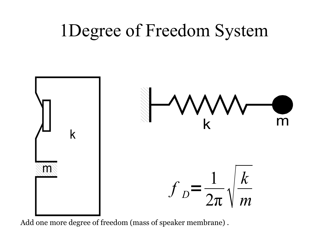## 1Degree of Freedom System



Add one more degree of freedom (mass of speaker membrane) .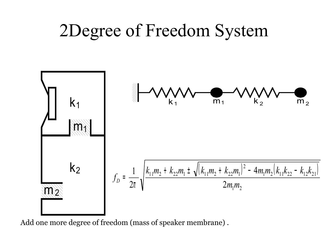## 2Degree of Freedom System



Add one more degree of freedom (mass of speaker membrane) .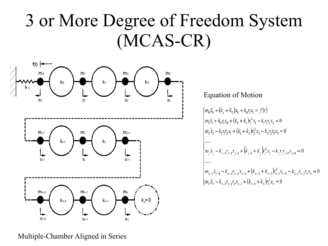## 3 or More Degree of Freedom System (MCAS-CR)



#### Equation of Motion

$$
\begin{cases}\nm_0\ddot{x}_0 + (k_u + k_0)x_0 + k_0r_1x_1 = f(t) \\
m_1\ddot{x}_1 + k_0r_1x_0 + (k_0 + k_1)r_1^2x_1 - k_1r_1r_2x_2 = 0 \\
m_2\ddot{x}_2 - k_1r_1r_2x_1 + (k_1 + k_2)r_2^2x_2 - k_2r_2r_3x_3 = 0 \\
\cdots \\
m_j\ddot{x}_j - k_{j-1}r_{j-1}x_{j-1} + (k_{j-1} + k_j)r_j^2x_j - k_jr_jr_{j+1}x_{j+1} = 0 \\
\cdots \\
m_{n-1}\ddot{x}_{n-1} - k_{n-2}r_{n-2}x_{n-1} + (k_{n-2} + k_{n-1})r_{n-1}^2x_{n-1} - k_{n-1}r_{n-1}r_nx_n = 0 \\
m_n\ddot{x}_n - k_{n-1}r_{n-1}r_nx_{n-1} + (k_{n-1} + k_n)r_n^2x_n = 0\n\end{cases}
$$

#### Multiple-Chamber Aligned in Series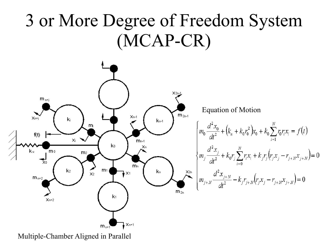### 3 or More Degree of Freedom System (MCAP-CR)



Multiple-Chamber Aligned in Parallel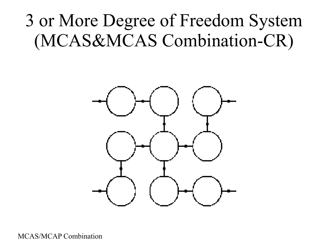# 3 or More Degree of Freedom System (MCAS&MCAS Combination-CR)



MCAS/MCAP Combination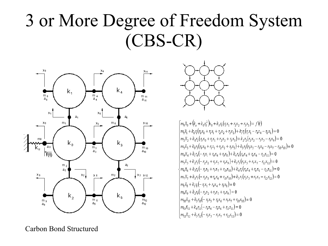# 3 or More Degree of Freedom System (CBS-CR)





 $\left(m_0\ddot{x}_0 + (k_0 + k_0r_0^2)\dot{x}_0 + k_0r_0(r_0x_1 + r_2x_2 + r_3x_3)\right) = f(t)$  $m_1\ddot{x}_1 + k_0r_1(r_0x_0 + r_1x_1 + r_2x_2 + r_3x_3) + k_1r_1(r_1x_1 - r_4x_4 - r_5x_8) = 0$  $\Big|m_2\ddot{x}_2+k_0r_2(r_0x_0+r_1x_1+r_2x_2+r_3x_3)+k_2r_2(r_2x_2-r_3x_5-r_0x_9)=0$  $m_3\ddot{x}_3 + k_0r_3(r_0x_0 + r_1x_1 + r_2x_2 + r_3x_3) + k_3r_3(r_3x_3 - r_6x_6 - r_7x_7 - r_{10}r_{10}) = 0$  $\Big| m_4 \ddot{x}_4 + k_1 r_4 \Big( - r_1 x_1 + r_4 x_4 + r_8 x_8 \Big) + k_4 r_4 \Big( r_4 x_4 + r_6 x_6 - r_1 x_{11} \Big) = 0$  $m_5\ddot{x}_5 + k_2r_5(-r_2x_2 + r_5x_5 + r_0x_9) + k_5r_5(r_5x_5 + r_7x_7 - r_1x_1) = 0$  $\left\{m_6\ddot{x}_6 + k_3r_6 \left(-r_3x_3 + r_7x_7 + r_{10}x_{10}\right) + k_4r_6\left(r_4x_4 + r_6x_6 - r_{11}x_{11}\right)\right\} = 0$  $m_1\ddot{x}_1 + k_3r_1(-r_3x_3 + r_6x_6 + r_{10}x_{10}) + k_5r_1(r_5x_5 + r_7x_7 - r_{12}x_{12}) = 0$  $m_2\ddot{x}_2 + k_1r_2(-r_1x_1 + r_4x_4 + r_5x_2) = 0$  $m_0\ddot{x}_0 + k_2r_0(-r_2x_2 + r_3x_3 + r_0x_0) = 0$  $m_0\ddot{x}_{10} + k_3r_{10}(-r_3x_3 + r_6x_6 + r_7x_7 + r_{10}x_{10}) = 0$  $m_1 \ddot{x}_{11} + k_4 r_{11} (-r_4 x_4 - r_6 x_6 + r_{11} x_{11}) = 0$  $\left(m_{12}\ddot{x}_{12} + k_5r_{12}(-r_5x_5 - r_7x_7 + r_{12}x_{12})\right) = 0$ 

Carbon Bond Structured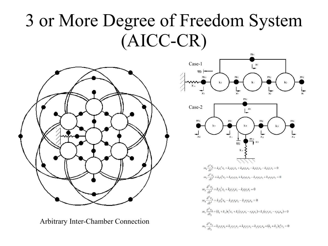# 3 or More Degree of Freedom System (AICC-CR)



Arbitrary Inter-Chamber Connection

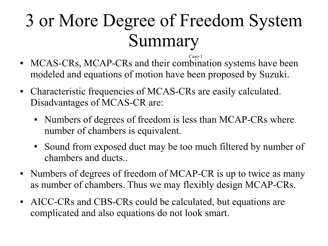# 3 or More Degree of Freedom System Summary

- MCAS-CRs, MCAP-CRs and their combination systems have been modeled and equations of motion have been proposed by Suzuki. Case-1
- Characteristic frequencies of MCAS-CRs are easily calculated. Disadvantages of MCAS-CR are:
	- Numbers of degrees of freedom is less than MCAP-CRs where number of chambers is equivalent.
	- Sound from exposed duct may be too much filtered by number of chambers and ducts..
- Numbers of degrees of freedom of MCAP-CR is up to twice as many as number of chambers. Thus we may flexibly design MCAP-CRs.
- AICC-CRs and CBS-CRs could be calculated, but equations are complicated and also equations do not look smart.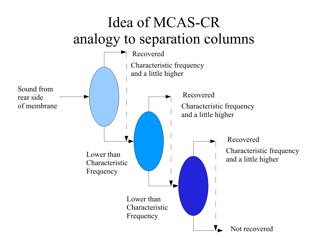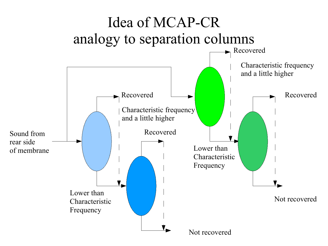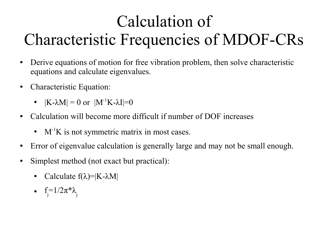### Calculation of Characteristic Frequencies of MDOF-CRs

- Derive equations of motion for free vibration problem, then solve characteristic equations and calculate eigenvalues.
- Characteristic Equation:
	- $|K-\lambda M| = 0$  or  $|M^{-1}K-\lambda I|=0$
- Calculation will become more difficult if number of DOF increases
	- $M^{-1}K$  is not symmetric matrix in most cases.
- Error of eigenvalue calculation is generally large and may not be small enough.
- Simplest method (not exact but practical):
	- Calculate  $f(\lambda) = |K \lambda M|$
	- f= $1/2\pi^*\lambda$ <sub>j</sub>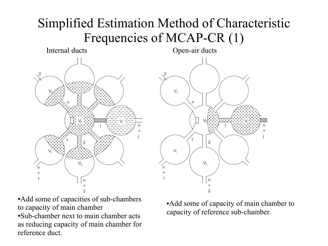#### Simplified Estimation Method of Characteristic Frequencies of MCAP-CR (1)





●Add some of capacities of sub-chambers to capacity of main chamber

●Sub-chamber next to main chamber acts as reducing capacity of main chamber for reference duct.

• Add some of capacity of main chamber to capacity of reference sub-chamber.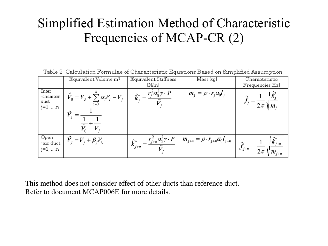#### Simplified Estimation Method of Characteristic Frequencies of MCAP-CR (2)

Table 2 Calculation Formulae of Characteristic Equations Based on Simplified Assumption

|                                         | Equivalent Volume[m <sup>3</sup> ]                    | Equivalent Stiffness<br>[N/m]                                                               | Mass[kg]                                   | Characteristic<br>Frequencies[Hz]     |
|-----------------------------------------|-------------------------------------------------------|---------------------------------------------------------------------------------------------|--------------------------------------------|---------------------------------------|
| Inter<br>-chamber<br>duct<br>$j=1, , n$ | $\hat{V}_0 = V_0 + \sum_{i=0}^{n} \alpha_i V_i - V_j$ | $\hat{k}_{i}^{*}=\frac{r_{j}^{2}a_{0}^{2}\gamma\cdot P}{r_{i}^{2}}$<br>$\overline{\hat{V}}$ | $m_j = \rho \cdot r_j a_0 l_j$             | $\sqrt{2\pi}$ $\sqrt{m_i}$            |
| Open<br>tair duct<br>$j=1, , n$         | $\ddot{V}_i = V_j + \beta_j V_0$                      | $\hat{k}_{j+n}^* = \frac{r_{j+n}^2 a_0^2 \gamma \cdot P}{\hat{V}_j}$                        | $m_{j+n} = \rho \cdot r_{j+n} a_0 l_{j+n}$ | $\kappa_{j+n}$<br>$J_{j+n}$<br>$2\pi$ |

This method does not consider effect of other ducts than reference duct. Refer to document MCAP006E for more details.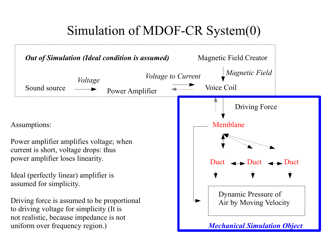### Simulation of MDOF-CR System(0)

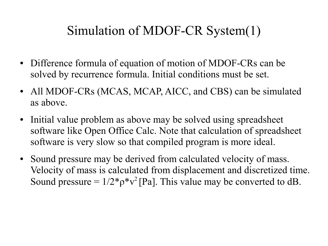### Simulation of MDOF-CR System(1)

- Difference formula of equation of motion of MDOF-CRs can be solved by recurrence formula. Initial conditions must be set.
- All MDOF-CRs (MCAS, MCAP, AICC, and CBS) can be simulated as above.
- Initial value problem as above may be solved using spreadsheet software like Open Office Calc. Note that calculation of spreadsheet software is very slow so that compiled program is more ideal.
- Sound pressure may be derived from calculated velocity of mass. Velocity of mass is calculated from displacement and discretized time. Sound pressure =  $1/2*_{p}*v^{2}$  [Pa]. This value may be converted to dB.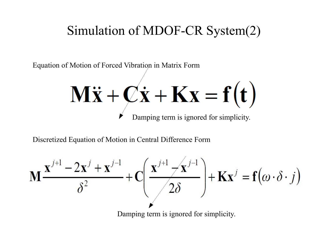#### Simulation of MDOF-CR System(2)

Equation of Motion of Forced Vibration in Matrix Form  $M\ddot{x} + C\dot{x} + Kx = f(t)$ Damping term is ignored for simplicity.

Discretized Equation of Motion in Central Difference Form

$$
\mathbf{M} \frac{\mathbf{x}^{j+1} - 2\mathbf{x}^j + \mathbf{x}^{j-1}}{\delta^2} + \mathbf{C} \left( \frac{\mathbf{x}^{j+1} - \mathbf{x}^{j-1}}{2\delta} \right) + \mathbf{K} \mathbf{x}^j = \mathbf{f}(\omega \cdot \delta \cdot j)
$$

Damping term is ignored for simplicity.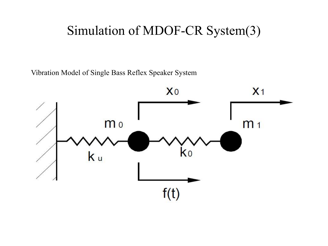#### Simulation of MDOF-CR System(3)

Vibration Model of Single Bass Reflex Speaker System

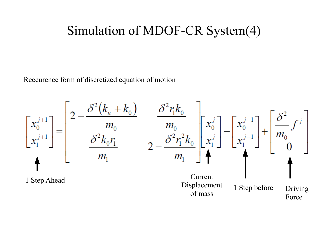#### Simulation of MDOF-CR System(4)

Reccurence form of discretized equation of motion

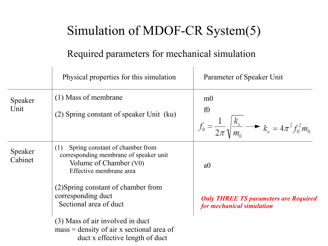### Simulation of MDOF-CR System(5)

#### Required parameters for mechanical simulation

|                    | Physical properties for this simulation                                                                                               | Parameter of Speaker Unit                                                                                        |  |
|--------------------|---------------------------------------------------------------------------------------------------------------------------------------|------------------------------------------------------------------------------------------------------------------|--|
| Speaker<br>Unit    | (1) Mass of membrane<br>(2) Spring constant of speaker Unit (ku)                                                                      | m <sub>0</sub><br>f0<br>$f_0 = \frac{1}{2\pi} \sqrt{\frac{k_u}{m_0}}$ $\longrightarrow$ $k_u = 4\pi^2 f_0^2 m_0$ |  |
| Speaker<br>Cabinet | Spring constant of chamber from<br>(1)<br>corresponding membrane of speaker unit<br>Volume of Chamber (V0)<br>Effective membrane area | a <sub>0</sub>                                                                                                   |  |
|                    | (2) Spring constant of chamber from<br>corresponding duct<br>Sectional area of duct                                                   | <b>Only THREE TS parameters are Required</b><br>for mechanical simulation                                        |  |
|                    | (3) Mass of air involved in duct<br>$mass = density of air x sectional area of$<br>duct x effective length of duct                    |                                                                                                                  |  |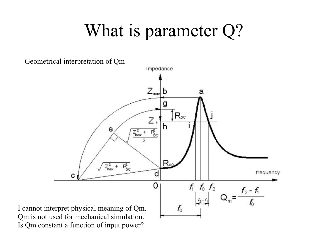## What is parameter Q?



Is Qm constant a function of input power?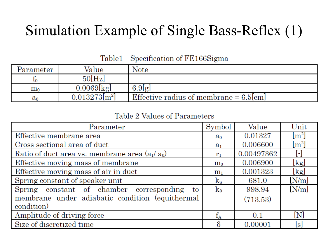### Simulation Example of Single Bass-Reflex (1)

Table1 Specification of FE166Sigma

| Parameter | Value           | Note                                      |
|-----------|-----------------|-------------------------------------------|
|           | 50[Hz]          |                                           |
| $\rm m_0$ | $0.0069$ [kg]   | 6.9[g]                                    |
| $a_0$     | $0.013273[m^2]$ | Effective radius of membrane $= 6.5$ [cm] |

Table 2 Values of Parameters

| Parameter                                        | Symbol         | Value      | Unit        |
|--------------------------------------------------|----------------|------------|-------------|
| Effective membrane area                          | $a_0$          | 0.01327    | $\rm [m^2]$ |
| Cross sectional area of duct                     | $a_1$          | 0.006600   | $\rm [m^2]$ |
| Ratio of duct area vs. membrane area $(a_1/a_0)$ | $r_1$          | 0.00497362 | H           |
| Effective moving mass of membrane                | m <sub>0</sub> | 0.006900   | [kg]        |
| Effective moving mass of air in duct             |                | 0.001323   | [kg]        |
| Spring constant of speaker unit                  | ku             | 681.0      | [N/m]       |
| Spring constant of chamber corresponding to      | $k_0$          | 998.94     | [N/m]       |
| membrane under adiabatic condition (equithermal  |                | (713.53)   |             |
| condition)                                       |                |            |             |
| Amplitude of driving force                       |                | 0.1        | [N]         |
| Size of discretized time                         |                | 0.00001    | $\lbrack$ s |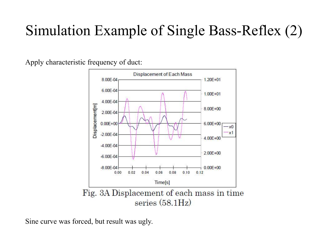### Simulation Example of Single Bass-Reflex (2)

Apply characteristic frequency of duct:



Sine curve was forced, but result was ugly.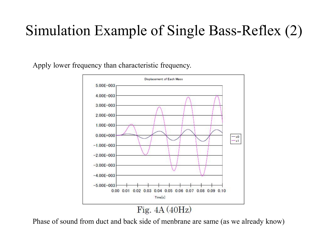### Simulation Example of Single Bass-Reflex (2)

Apply lower frequency than characteristic frequency.



Phase of sound from duct and back side of menbrane are same (as we already know)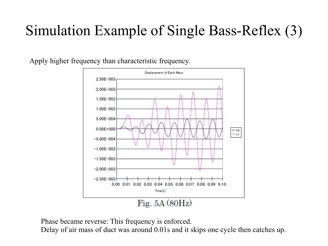### Simulation Example of Single Bass-Reflex (3)

Apply higher frequency than characteristic frequency.



Phase became reverse: This frequency is enforced.

Delay of air mass of duct was around 0.01s and it skips one cycle then catches up.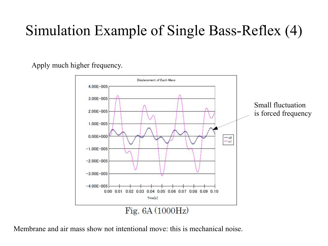### Simulation Example of Single Bass-Reflex (4)

Apply much higher frequency.



Membrane and air mass show not intentional move: this is mechanical noise.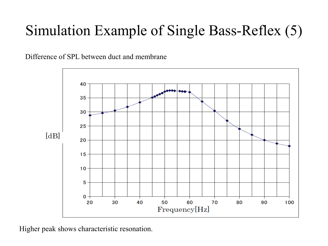### Simulation Example of Single Bass-Reflex (5)

Difference of SPL between duct and membrane



Higher peak shows characteristic resonation.